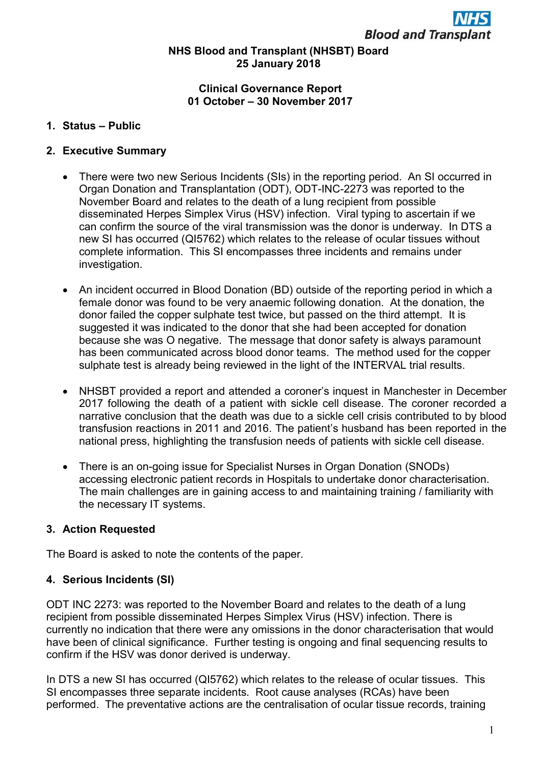# NHS Blood and Transplant (NHSBT) Board 25 January 2018

#### Clinical Governance Report 01 October – 30 November 2017

# 1. Status – Public

## 2. Executive Summary

- There were two new Serious Incidents (SIs) in the reporting period. An SI occurred in Organ Donation and Transplantation (ODT), ODT-INC-2273 was reported to the November Board and relates to the death of a lung recipient from possible disseminated Herpes Simplex Virus (HSV) infection. Viral typing to ascertain if we can confirm the source of the viral transmission was the donor is underway. In DTS a new SI has occurred (QI5762) which relates to the release of ocular tissues without complete information. This SI encompasses three incidents and remains under investigation.
- An incident occurred in Blood Donation (BD) outside of the reporting period in which a female donor was found to be very anaemic following donation. At the donation, the donor failed the copper sulphate test twice, but passed on the third attempt. It is suggested it was indicated to the donor that she had been accepted for donation because she was O negative. The message that donor safety is always paramount has been communicated across blood donor teams. The method used for the copper sulphate test is already being reviewed in the light of the INTERVAL trial results.
- NHSBT provided a report and attended a coroner's inquest in Manchester in December 2017 following the death of a patient with sickle cell disease. The coroner recorded a narrative conclusion that the death was due to a sickle cell crisis contributed to by blood transfusion reactions in 2011 and 2016. The patient's husband has been reported in the national press, highlighting the transfusion needs of patients with sickle cell disease.
- There is an on-going issue for Specialist Nurses in Organ Donation (SNODs) accessing electronic patient records in Hospitals to undertake donor characterisation. The main challenges are in gaining access to and maintaining training / familiarity with the necessary IT systems.

#### 3. Action Requested

The Board is asked to note the contents of the paper.

# 4. Serious Incidents (SI)

ODT INC 2273: was reported to the November Board and relates to the death of a lung recipient from possible disseminated Herpes Simplex Virus (HSV) infection. There is currently no indication that there were any omissions in the donor characterisation that would have been of clinical significance. Further testing is ongoing and final sequencing results to confirm if the HSV was donor derived is underway.

In DTS a new SI has occurred (QI5762) which relates to the release of ocular tissues. This SI encompasses three separate incidents. Root cause analyses (RCAs) have been performed. The preventative actions are the centralisation of ocular tissue records, training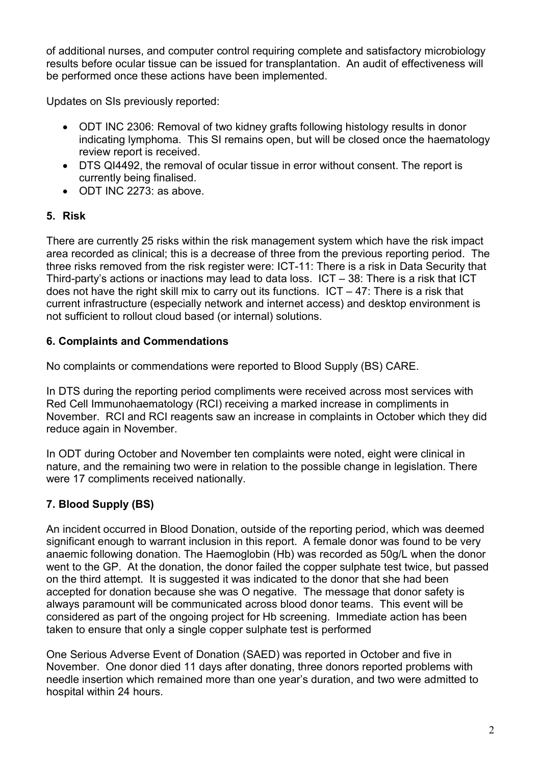of additional nurses, and computer control requiring complete and satisfactory microbiology results before ocular tissue can be issued for transplantation. An audit of effectiveness will be performed once these actions have been implemented.

Updates on SIs previously reported:

- ODT INC 2306: Removal of two kidney grafts following histology results in donor indicating lymphoma. This SI remains open, but will be closed once the haematology review report is received.
- DTS QI4492, the removal of ocular tissue in error without consent. The report is currently being finalised.
- ODT INC 2273: as above.

# 5. Risk

There are currently 25 risks within the risk management system which have the risk impact area recorded as clinical; this is a decrease of three from the previous reporting period. The three risks removed from the risk register were: ICT-11: There is a risk in Data Security that Third-party's actions or inactions may lead to data loss. ICT – 38: There is a risk that ICT does not have the right skill mix to carry out its functions.  $ICT - 47$ : There is a risk that current infrastructure (especially network and internet access) and desktop environment is not sufficient to rollout cloud based (or internal) solutions.

# 6. Complaints and Commendations

No complaints or commendations were reported to Blood Supply (BS) CARE.

In DTS during the reporting period compliments were received across most services with Red Cell Immunohaematology (RCI) receiving a marked increase in compliments in November. RCI and RCI reagents saw an increase in complaints in October which they did reduce again in November.

In ODT during October and November ten complaints were noted, eight were clinical in nature, and the remaining two were in relation to the possible change in legislation. There were 17 compliments received nationally.

# 7. Blood Supply (BS)

An incident occurred in Blood Donation, outside of the reporting period, which was deemed significant enough to warrant inclusion in this report. A female donor was found to be very anaemic following donation. The Haemoglobin (Hb) was recorded as 50g/L when the donor went to the GP. At the donation, the donor failed the copper sulphate test twice, but passed on the third attempt. It is suggested it was indicated to the donor that she had been accepted for donation because she was O negative. The message that donor safety is always paramount will be communicated across blood donor teams. This event will be considered as part of the ongoing project for Hb screening. Immediate action has been taken to ensure that only a single copper sulphate test is performed

One Serious Adverse Event of Donation (SAED) was reported in October and five in November. One donor died 11 days after donating, three donors reported problems with needle insertion which remained more than one year's duration, and two were admitted to hospital within 24 hours.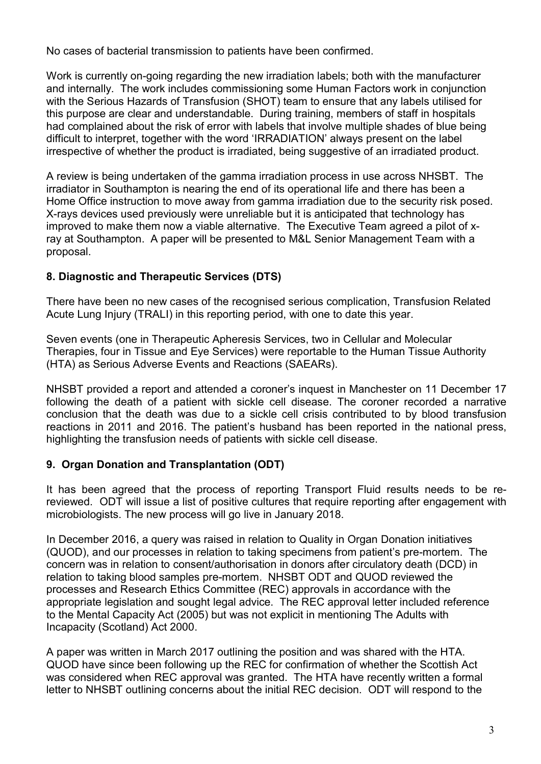No cases of bacterial transmission to patients have been confirmed.

Work is currently on-going regarding the new irradiation labels; both with the manufacturer and internally. The work includes commissioning some Human Factors work in conjunction with the Serious Hazards of Transfusion (SHOT) team to ensure that any labels utilised for this purpose are clear and understandable. During training, members of staff in hospitals had complained about the risk of error with labels that involve multiple shades of blue being difficult to interpret, together with the word 'IRRADIATION' always present on the label irrespective of whether the product is irradiated, being suggestive of an irradiated product.

A review is being undertaken of the gamma irradiation process in use across NHSBT. The irradiator in Southampton is nearing the end of its operational life and there has been a Home Office instruction to move away from gamma irradiation due to the security risk posed. X-rays devices used previously were unreliable but it is anticipated that technology has improved to make them now a viable alternative. The Executive Team agreed a pilot of xray at Southampton. A paper will be presented to M&L Senior Management Team with a proposal.

# 8. Diagnostic and Therapeutic Services (DTS)

There have been no new cases of the recognised serious complication, Transfusion Related Acute Lung Injury (TRALI) in this reporting period, with one to date this year.

Seven events (one in Therapeutic Apheresis Services, two in Cellular and Molecular Therapies, four in Tissue and Eye Services) were reportable to the Human Tissue Authority (HTA) as Serious Adverse Events and Reactions (SAEARs).

NHSBT provided a report and attended a coroner's inquest in Manchester on 11 December 17 following the death of a patient with sickle cell disease. The coroner recorded a narrative conclusion that the death was due to a sickle cell crisis contributed to by blood transfusion reactions in 2011 and 2016. The patient's husband has been reported in the national press, highlighting the transfusion needs of patients with sickle cell disease.

# 9. Organ Donation and Transplantation (ODT)

It has been agreed that the process of reporting Transport Fluid results needs to be rereviewed. ODT will issue a list of positive cultures that require reporting after engagement with microbiologists. The new process will go live in January 2018.

In December 2016, a query was raised in relation to Quality in Organ Donation initiatives (QUOD), and our processes in relation to taking specimens from patient's pre-mortem. The concern was in relation to consent/authorisation in donors after circulatory death (DCD) in relation to taking blood samples pre-mortem. NHSBT ODT and QUOD reviewed the processes and Research Ethics Committee (REC) approvals in accordance with the appropriate legislation and sought legal advice. The REC approval letter included reference to the Mental Capacity Act (2005) but was not explicit in mentioning The Adults with Incapacity (Scotland) Act 2000.

A paper was written in March 2017 outlining the position and was shared with the HTA. QUOD have since been following up the REC for confirmation of whether the Scottish Act was considered when REC approval was granted. The HTA have recently written a formal letter to NHSBT outlining concerns about the initial REC decision. ODT will respond to the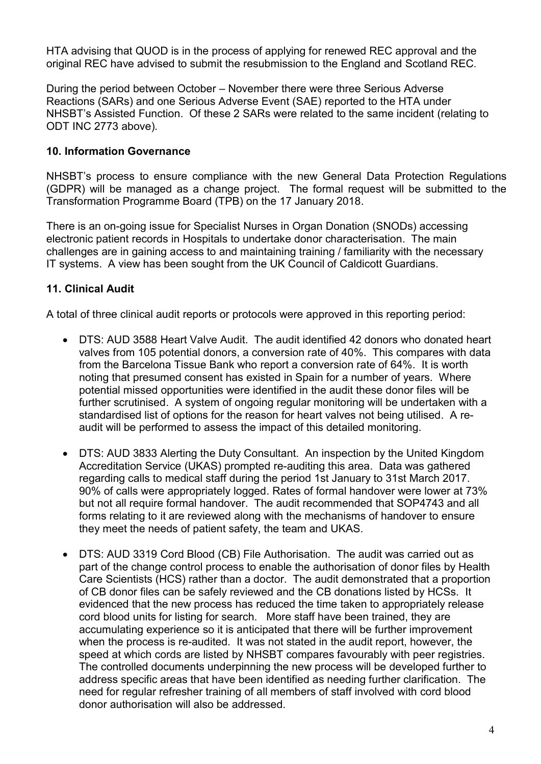HTA advising that QUOD is in the process of applying for renewed REC approval and the original REC have advised to submit the resubmission to the England and Scotland REC.

During the period between October – November there were three Serious Adverse Reactions (SARs) and one Serious Adverse Event (SAE) reported to the HTA under NHSBT's Assisted Function. Of these 2 SARs were related to the same incident (relating to ODT INC 2773 above).

# 10. Information Governance

NHSBT's process to ensure compliance with the new General Data Protection Regulations (GDPR) will be managed as a change project. The formal request will be submitted to the Transformation Programme Board (TPB) on the 17 January 2018.

There is an on-going issue for Specialist Nurses in Organ Donation (SNODs) accessing electronic patient records in Hospitals to undertake donor characterisation. The main challenges are in gaining access to and maintaining training / familiarity with the necessary IT systems. A view has been sought from the UK Council of Caldicott Guardians.

# 11. Clinical Audit

A total of three clinical audit reports or protocols were approved in this reporting period:

- DTS: AUD 3588 Heart Valve Audit. The audit identified 42 donors who donated heart valves from 105 potential donors, a conversion rate of 40%. This compares with data from the Barcelona Tissue Bank who report a conversion rate of 64%. It is worth noting that presumed consent has existed in Spain for a number of years. Where potential missed opportunities were identified in the audit these donor files will be further scrutinised. A system of ongoing regular monitoring will be undertaken with a standardised list of options for the reason for heart valves not being utilised. A reaudit will be performed to assess the impact of this detailed monitoring.
- DTS: AUD 3833 Alerting the Duty Consultant. An inspection by the United Kingdom Accreditation Service (UKAS) prompted re-auditing this area. Data was gathered regarding calls to medical staff during the period 1st January to 31st March 2017. 90% of calls were appropriately logged. Rates of formal handover were lower at 73% but not all require formal handover. The audit recommended that SOP4743 and all forms relating to it are reviewed along with the mechanisms of handover to ensure they meet the needs of patient safety, the team and UKAS.
- DTS: AUD 3319 Cord Blood (CB) File Authorisation. The audit was carried out as part of the change control process to enable the authorisation of donor files by Health Care Scientists (HCS) rather than a doctor. The audit demonstrated that a proportion of CB donor files can be safely reviewed and the CB donations listed by HCSs. It evidenced that the new process has reduced the time taken to appropriately release cord blood units for listing for search. More staff have been trained, they are accumulating experience so it is anticipated that there will be further improvement when the process is re-audited. It was not stated in the audit report, however, the speed at which cords are listed by NHSBT compares favourably with peer registries. The controlled documents underpinning the new process will be developed further to address specific areas that have been identified as needing further clarification. The need for regular refresher training of all members of staff involved with cord blood donor authorisation will also be addressed.